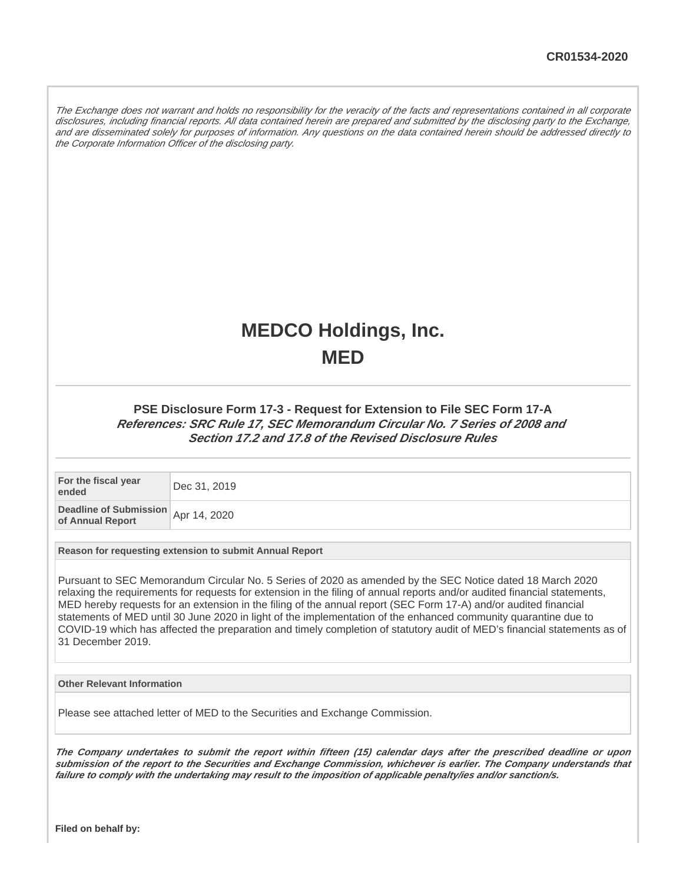The Exchange does not warrant and holds no responsibility for the veracity of the facts and representations contained in all corporate disclosures, including financial reports. All data contained herein are prepared and submitted by the disclosing party to the Exchange, and are disseminated solely for purposes of information. Any questions on the data contained herein should be addressed directly to the Corporate Information Officer of the disclosing party.

## **MEDCO Holdings, Inc. MED**

## **PSE Disclosure Form 17-3 - Request for Extension to File SEC Form 17-A References: SRC Rule 17, SEC Memorandum Circular No. 7 Series of 2008 and Section 17.2 and 17.8 of the Revised Disclosure Rules**

**For the fiscal year ended** Portugal Dec 31, 2019

**Deadline of Submission beading of Submission**<br>**of Annual Report Apr** 14, 2020

**Reason for requesting extension to submit Annual Report**

Pursuant to SEC Memorandum Circular No. 5 Series of 2020 as amended by the SEC Notice dated 18 March 2020 relaxing the requirements for requests for extension in the filing of annual reports and/or audited financial statements, MED hereby requests for an extension in the filing of the annual report (SEC Form 17-A) and/or audited financial statements of MED until 30 June 2020 in light of the implementation of the enhanced community quarantine due to COVID-19 which has affected the preparation and timely completion of statutory audit of MED's financial statements as of 31 December 2019.

**Other Relevant Information**

Please see attached letter of MED to the Securities and Exchange Commission.

**The Company undertakes to submit the report within fifteen (15) calendar days after the prescribed deadline or upon submission of the report to the Securities and Exchange Commission, whichever is earlier. The Company understands that failure to comply with the undertaking may result to the imposition of applicable penalty/ies and/or sanction/s.**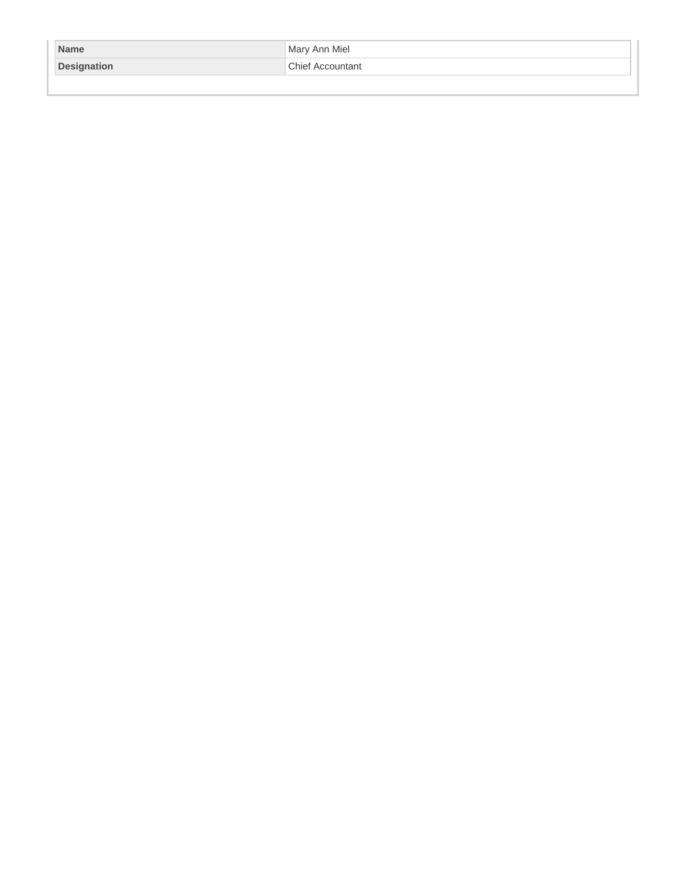| <b>Name</b>        | Mary Ann Miel           |
|--------------------|-------------------------|
| <b>Designation</b> | <b>Chief Accountant</b> |
|                    |                         |